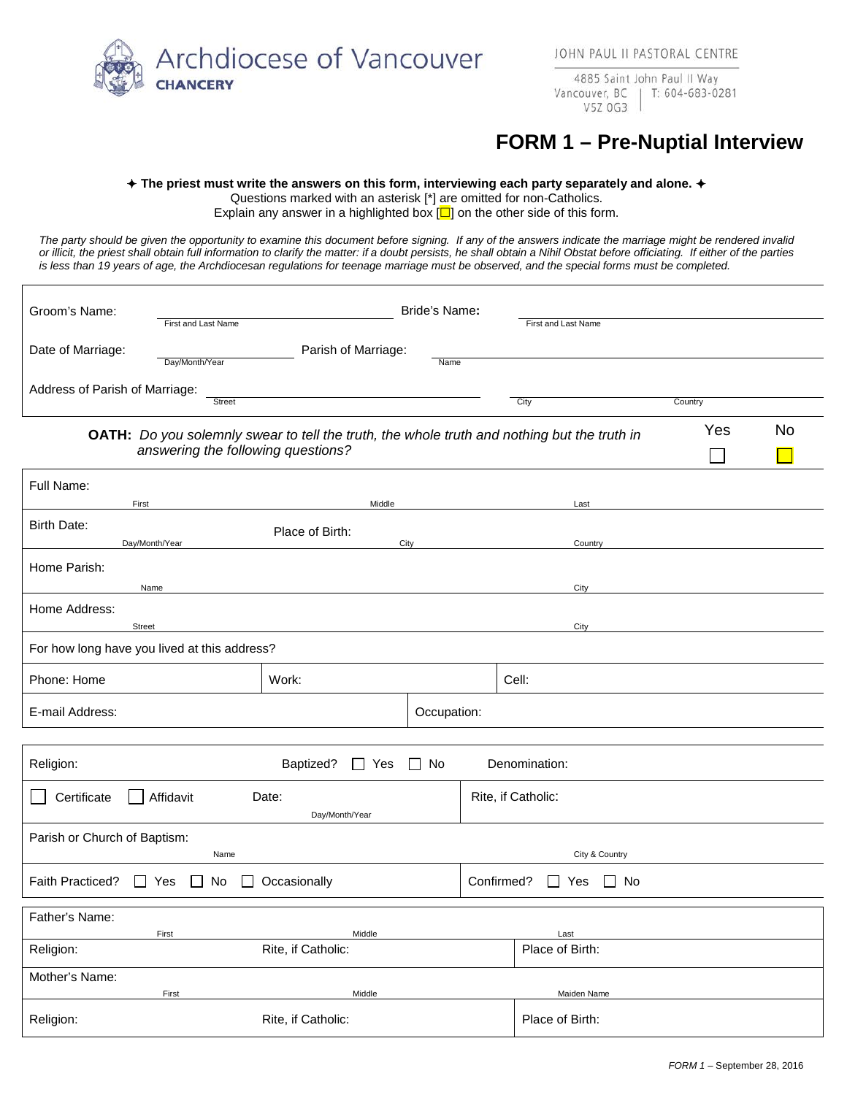Archdiocese of Vancouver **CHANCERY** 

4885 Saint John Paul II Way Vancouver, BC T: 604-683-0281 V5Z 0G3

## **FORM 1 – Pre-Nuptial Interview**

## **The priest must write the answers on this form, interviewing each party separately and alone.**

Questions marked with an asterisk [\*] are omitted for non-Catholics.

Explain any answer in a highlighted box  $\Box$  on the other side of this form.

*The party should be given the opportunity to examine this document before signing. If any of the answers indicate the marriage might be rendered invalid or illicit, the priest shall obtain full information to clarify the matter: if a doubt persists, he shall obtain a Nihil Obstat before officiating. If either of the parties is less than 19 years of age, the Archdiocesan regulations for teenage marriage must be observed, and the special forms must be completed.*

| Groom's Name:                                                             | First and Last Name                |                                                                                                    | Bride's Name: |                                    | First and Last Name |     |           |
|---------------------------------------------------------------------------|------------------------------------|----------------------------------------------------------------------------------------------------|---------------|------------------------------------|---------------------|-----|-----------|
| Date of Marriage:                                                         | Day/Month/Year                     | Parish of Marriage:                                                                                | Name          |                                    |                     |     |           |
| Address of Parish of Marriage:<br><b>Street</b><br>City<br>Country        |                                    |                                                                                                    |               |                                    |                     |     |           |
|                                                                           | answering the following questions? | <b>OATH:</b> Do you solemnly swear to tell the truth, the whole truth and nothing but the truth in |               |                                    |                     | Yes | <b>No</b> |
| Full Name:<br>First                                                       |                                    | Middle                                                                                             |               |                                    | Last                |     |           |
| <b>Birth Date:</b><br>Day/Month/Year                                      |                                    | Place of Birth:                                                                                    | City          |                                    | Country             |     |           |
| Home Parish:<br>City<br>Name                                              |                                    |                                                                                                    |               |                                    |                     |     |           |
| Home Address:<br><b>Street</b>                                            |                                    |                                                                                                    |               |                                    | City                |     |           |
| For how long have you lived at this address?                              |                                    |                                                                                                    |               |                                    |                     |     |           |
| Phone: Home                                                               |                                    | Work:                                                                                              |               |                                    | Cell:               |     |           |
| E-mail Address:                                                           |                                    |                                                                                                    | Occupation:   |                                    |                     |     |           |
| Religion:<br>Baptized?<br>$\Box$ No<br>Denomination:<br>$\Box$ Yes        |                                    |                                                                                                    |               |                                    |                     |     |           |
| Affidavit<br>Certificate<br>Date:<br>Rite, if Catholic:<br>Day/Month/Year |                                    |                                                                                                    |               |                                    |                     |     |           |
| Parish or Church of Baptism:<br>City & Country<br>Name                    |                                    |                                                                                                    |               |                                    |                     |     |           |
| Occasionally<br>Faith Practiced?<br>$\Box$ Yes<br>No<br>$\perp$           |                                    |                                                                                                    |               | Confirmed?<br>No<br>Yes<br>$\perp$ |                     |     |           |
| Father's Name:                                                            | First                              | Middle                                                                                             |               |                                    | Last                |     |           |
| Religion:                                                                 |                                    | Rite, if Catholic:                                                                                 |               |                                    | Place of Birth:     |     |           |
| Mother's Name:                                                            | First                              | Middle                                                                                             |               |                                    | Maiden Name         |     |           |
| Religion:                                                                 | Rite, if Catholic:                 |                                                                                                    |               |                                    | Place of Birth:     |     |           |